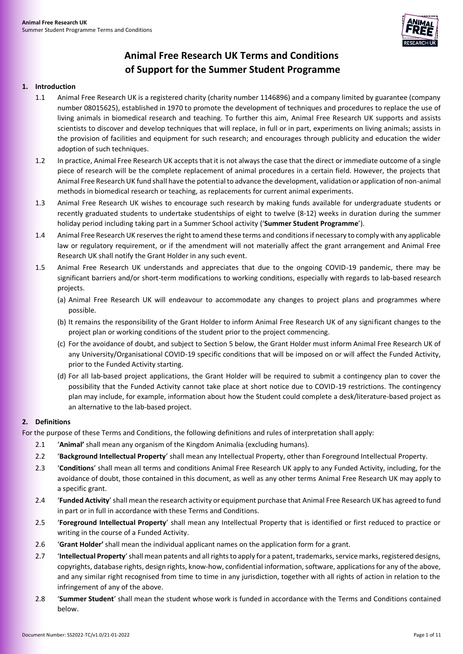

# **Animal Free Research UK Terms and Conditions of Support for the Summer Student Programme**

#### **1. Introduction**

- 1.1 Animal Free Research UK is a registered charity (charity number 1146896) and a company limited by guarantee (company number 08015625), established in 1970 to promote the development of techniques and procedures to replace the use of living animals in biomedical research and teaching. To further this aim, Animal Free Research UK supports and assists scientists to discover and develop techniques that will replace, in full or in part, experiments on living animals; assists in the provision of facilities and equipment for such research; and encourages through publicity and education the wider adoption of such techniques.
- 1.2 In practice, Animal Free Research UK accepts that it is not always the case that the direct or immediate outcome of a single piece of research will be the complete replacement of animal procedures in a certain field. However, the projects that Animal Free Research UK fund shall have the potential to advance the development, validation or application of non-animal methods in biomedical research or teaching, as replacements for current animal experiments.
- <span id="page-0-0"></span>1.3 Animal Free Research UK wishes to encourage such research by making funds available for undergraduate students or recently graduated students to undertake studentships of eight to twelve (8-12) weeks in duration during the summer holiday period including taking part in a Summer School activity ('**Summer Student Programme**').
- 1.4 Animal Free Research UK reserves the right to amend these terms and conditions if necessary to comply with any applicable law or regulatory requirement, or if the amendment will not materially affect the grant arrangement and Animal Free Research UK shall notify the Grant Holder in any such event.
- 1.5 Animal Free Research UK understands and appreciates that due to the ongoing COVID-19 pandemic, there may be significant barriers and/or short-term modifications to working conditions, especially with regards to lab-based research projects.
	- (a) Animal Free Research UK will endeavour to accommodate any changes to project plans and programmes where possible.
	- (b) It remains the responsibility of the Grant Holder to inform Animal Free Research UK of any significant changes to the project plan or working conditions of the student prior to the project commencing.
	- (c) For the avoidance of doubt, and subject to Sectio[n 5](#page-2-0) below, the Grant Holder must inform Animal Free Research UK of any University/Organisational COVID-19 specific conditions that will be imposed on or will affect the Funded Activity, prior to the Funded Activity starting.
	- (d) For all lab-based project applications, the Grant Holder will be required to submit a contingency plan to cover the possibility that the Funded Activity cannot take place at short notice due to COVID-19 restrictions. The contingency plan may include, for example, information about how the Student could complete a desk/literature-based project as an alternative to the lab-based project.

# **2. Definitions**

For the purpose of these Terms and Conditions, the following definitions and rules of interpretation shall apply:

- 2.1 '**Animal'** shall mean any organism of the Kingdom Animalia (excluding humans).
- 2.2 '**Background Intellectual Property**' shall mean any Intellectual Property, other than Foreground Intellectual Property.
- 2.3 '**Conditions**' shall mean all terms and conditions Animal Free Research UK apply to any Funded Activity, including, for the avoidance of doubt, those contained in this document, as well as any other terms Animal Free Research UK may apply to a specific grant.
- 2.4 '**Funded Activity**' shall mean the research activity or equipment purchase that Animal Free Research UK has agreed to fund in part or in full in accordance with these Terms and Conditions.
- 2.5 '**Foreground Intellectual Property**' shall mean any Intellectual Property that is identified or first reduced to practice or writing in the course of a Funded Activity.
- 2.6 '**Grant Holder'** shall mean the individual applicant names on the application form for a grant.
- 2.7 '**Intellectual Property**' shall mean patents and all rights to apply for a patent, trademarks, service marks, registered designs, copyrights, database rights, design rights, know-how, confidential information, software, applications for any of the above, and any similar right recognised from time to time in any jurisdiction, together with all rights of action in relation to the infringement of any of the above.
- 2.8 '**Summer Student**' shall mean the student whose work is funded in accordance with the Terms and Conditions contained below.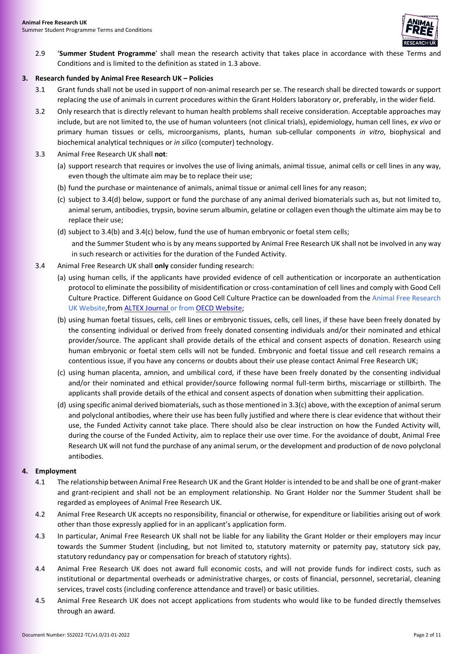

2.9 '**Summer Student Programme**' shall mean the research activity that takes place in accordance with these Terms and Conditions and is limited to the definition as stated in [1.3 above.](#page-0-0)

#### **3. Research funded by Animal Free Research UK – Policies**

- 3.1 Grant funds shall not be used in support of non-animal research per se. The research shall be directed towards or support replacing the use of animals in current procedures within the Grant Holders laboratory or, preferably, in the wider field.
- 3.2 Only research that is directly relevant to human health problems shall receive consideration. Acceptable approaches may include, but are not limited to, the use of human volunteers (not clinical trials), epidemiology, human cell lines, *ex vivo* or primary human tissues or cells, microorganisms, plants, human sub-cellular components *in vitro*, biophysical and biochemical analytical techniques or *in silico* (computer) technology.
- 3.3 Animal Free Research UK shall **not**:
	- (a) support research that requires or involves the use of living animals, animal tissue, animal cells or cell lines in any way, even though the ultimate aim may be to replace their use;
	- (b) fund the purchase or maintenance of animals, animal tissue or animal cell lines for any reason;
	- (c) subject to 3.4(d) below, support or fund the purchase of any animal derived biomaterials such as, but not limited to, animal serum, antibodies, trypsin, bovine serum albumin, gelatine or collagen even though the ultimate aim may be to replace their use;
	- (d) subject t[o 3.4\(b\)](#page-1-0) and [3.4\(c\) below,](#page-1-1) fund the use of human embryonic or foetal stem cells; and the Summer Student who is by any means supported by Animal Free Research UK shall not be involved in any way in such research or activities for the duration of the Funded Activity.
- <span id="page-1-0"></span>3.4 Animal Free Research UK shall **only** consider funding research:
	- (a) using human cells, if the applicants have provided evidence of cell authentication or incorporate an authentication protocol to eliminate the possibility of misidentification or cross-contamination of cell lines and comply with Good Cell Culture Practice. Different Guidance on Good Cell Culture Practice can be downloaded from the [Animal Free Research](https://www.animalfreeresearchuk.org/wp-content/uploads/2018/09/GCCPtaskforcereport2.pdf)  UK [Website,](https://www.animalfreeresearchuk.org/wp-content/uploads/2018/09/GCCPtaskforcereport2.pdf)from [ALTEX Journal](https://www.altex.org/index.php/altex/article/view/1000/1127) or from [OECD Website;](https://www.oecd-ilibrary.org/environment/guidance-document-on-good-in-vitro-method-practices-givimp/good-cell-culture-practice-gccp_9789264304796-16-en)
	- (b) using human foetal tissues, cells, cell lines or embryonic tissues, cells, cell lines, if these have been freely donated by the consenting individual or derived from freely donated consenting individuals and/or their nominated and ethical provider/source. The applicant shall provide details of the ethical and consent aspects of donation. Research using human embryonic or foetal stem cells will not be funded. Embryonic and foetal tissue and cell research remains a contentious issue, if you have any concerns or doubts about their use please contact Animal Free Research UK;
	- (c) using human placenta, amnion, and umbilical cord, if these have been freely donated by the consenting individual and/or their nominated and ethical provider/source following normal full-term births, miscarriage or stillbirth. The applicants shall provide details of the ethical and consent aspects of donation when submitting their application.
	- (d) using specific animal derived biomaterials, such as those mentioned in 3.3(c) above, with the exception of animal serum and polyclonal antibodies, where their use has been fully justified and where there is clear evidence that without their use, the Funded Activity cannot take place. There should also be clear instruction on how the Funded Activity will, during the course of the Funded Activity, aim to replace their use over time. For the avoidance of doubt, Animal Free Research UK will not fund the purchase of any animal serum, or the development and production of de novo polyclonal antibodies.

# <span id="page-1-1"></span>**4. Employment**

- 4.1 The relationship between Animal Free Research UK and the Grant Holder is intended to be and shall be one of grant-maker and grant-recipient and shall not be an employment relationship. No Grant Holder nor the Summer Student shall be regarded as employees of Animal Free Research UK.
- 4.2 Animal Free Research UK accepts no responsibility, financial or otherwise, for expenditure or liabilities arising out of work other than those expressly applied for in an applicant's application form.
- 4.3 In particular, Animal Free Research UK shall not be liable for any liability the Grant Holder or their employers may incur towards the Summer Student (including, but not limited to, statutory maternity or paternity pay, statutory sick pay, statutory redundancy pay or compensation for breach of statutory rights).
- 4.4 Animal Free Research UK does not award full economic costs, and will not provide funds for indirect costs, such as institutional or departmental overheads or administrative charges, or costs of financial, personnel, secretarial, cleaning services, travel costs (including conference attendance and travel) or basic utilities.
- 4.5 Animal Free Research UK does not accept applications from students who would like to be funded directly themselves through an award.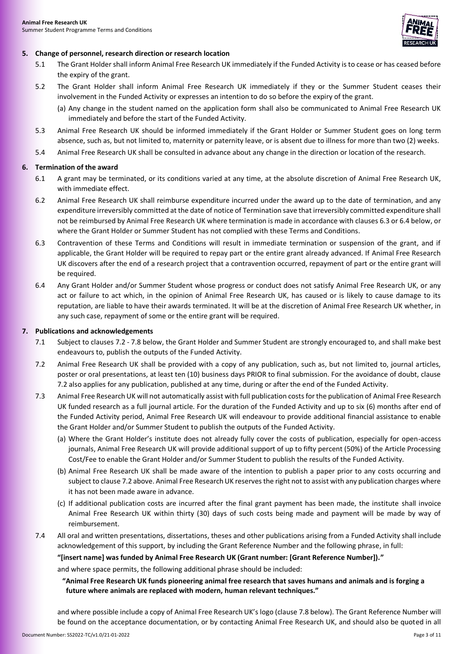

# <span id="page-2-0"></span>**5. Change of personnel, research direction or research location**

- 5.1 The Grant Holder shall inform Animal Free Research UK immediately if the Funded Activity is to cease or has ceased before the expiry of the grant.
- 5.2 The Grant Holder shall inform Animal Free Research UK immediately if they or the Summer Student ceases their involvement in the Funded Activity or expresses an intention to do so before the expiry of the grant.
	- (a) Any change in the student named on the application form shall also be communicated to Animal Free Research UK immediately and before the start of the Funded Activity.
- 5.3 Animal Free Research UK should be informed immediately if the Grant Holder or Summer Student goes on long term absence, such as, but not limited to, maternity or paternity leave, or is absent due to illness for more than two (2) weeks.
- 5.4 Animal Free Research UK shall be consulted in advance about any change in the direction or location of the research.

# **6. Termination of the award**

- 6.1 A grant may be terminated, or its conditions varied at any time, at the absolute discretion of Animal Free Research UK, with immediate effect.
- 6.2 Animal Free Research UK shall reimburse expenditure incurred under the award up to the date of termination, and any expenditure irreversibly committed at the date of notice of Termination save that irreversibly committed expenditure shall not be reimbursed by Animal Free Research UK where termination is made in accordance with clause[s 6.3](#page-2-1) o[r 6.4 below,](#page-2-2) or where the Grant Holder or Summer Student has not complied with these Terms and Conditions.
- <span id="page-2-1"></span>6.3 Contravention of these Terms and Conditions will result in immediate termination or suspension of the grant, and if applicable, the Grant Holder will be required to repay part or the entire grant already advanced. If Animal Free Research UK discovers after the end of a research project that a contravention occurred, repayment of part or the entire grant will be required.
- <span id="page-2-2"></span>6.4 Any Grant Holder and/or Summer Student whose progress or conduct does not satisfy Animal Free Research UK, or any act or failure to act which, in the opinion of Animal Free Research UK, has caused or is likely to cause damage to its reputation, are liable to have their awards terminated. It will be at the discretion of Animal Free Research UK whether, in any such case, repayment of some or the entire grant will be required.

# <span id="page-2-6"></span>**7. Publications and acknowledgements**

- 7.1 Subject to clauses 7.2 [7.8 below,](#page-3-0) the Grant Holder and Summer Student are strongly encouraged to, and shall make best endeavours to, publish the outputs of the Funded Activity.
- <span id="page-2-3"></span>7.2 Animal Free Research UK shall be provided with a copy of any publication, such as, but not limited to, journal articles, poster or oral presentations, at least ten (10) business days PRIOR to final submission. For the avoidance of doubt, clause [7.2](#page-2-3) also applies for any publication, published at any time, during or after the end of the Funded Activity.
- <span id="page-2-5"></span>7.3 Animal Free Research UK will not automatically assist with full publication costs for the publication of Animal Free Research UK funded research as a full journal article. For the duration of the Funded Activity and up to six (6) months after end of the Funded Activity period, Animal Free Research UK will endeavour to provide additional financial assistance to enable the Grant Holder and/or Summer Student to publish the outputs of the Funded Activity.
	- (a) Where the Grant Holder's institute does not already fully cover the costs of publication, especially for open-access journals, Animal Free Research UK will provide additional support of up to fifty percent (50%) of the Article Processing Cost/Fee to enable the Grant Holder and/or Summer Student to publish the results of the Funded Activity.
	- (b) Animal Free Research UK shall be made aware of the intention to publish a paper prior to any costs occurring and subject to claus[e 7.2 above.](#page-2-3) Animal Free Research UK reserves the right not to assist with any publication charges where it has not been made aware in advance.
	- (c) If additional publication costs are incurred after the final grant payment has been made, the institute shall invoice Animal Free Research UK within thirty (30) days of such costs being made and payment will be made by way of reimbursement.
- <span id="page-2-4"></span>7.4 All oral and written presentations, dissertations, theses and other publications arising from a Funded Activity shall include acknowledgement of this support, by including the Grant Reference Number and the following phrase, in full:

**"[insert name] was funded by Animal Free Research UK (Grant number: [Grant Reference Number])."**

and where space permits, the following additional phrase should be included:

**"Animal Free Research UK funds pioneering animal free research that saves humans and animals and is forging a future where animals are replaced with modern, human relevant techniques."**

and where possible include a copy of Animal Free Research UK's logo (clause [7.8 below\)](#page-3-0). The Grant Reference Number will be found on the acceptance documentation, or by contacting Animal Free Research UK, and should also be quoted in all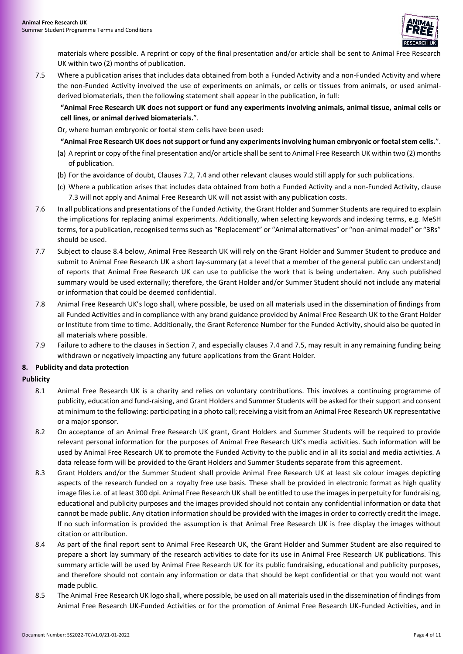

materials where possible. A reprint or copy of the final presentation and/or article shall be sent to Animal Free Research UK within two (2) months of publication.

<span id="page-3-1"></span>7.5 Where a publication arises that includes data obtained from both a Funded Activity and a non-Funded Activity and where the non-Funded Activity involved the use of experiments on animals, or cells or tissues from animals, or used animalderived biomaterials, then the following statement shall appear in the publication, in full:

**"Animal Free Research UK does not support or fund any experiments involving animals, animal tissue, animal cells or cell lines, or animal derived biomaterials.**".

Or, where human embryonic or foetal stem cells have been used:

**"Animal Free Research UK does not support or fund any experiments involving human embryonic or foetal stem cells.**".

- (a) A reprint or copy of the final presentation and/or article shall be sent to Animal Free Research UK within two (2) months of publication.
- (b) For the avoidance of doubt, Clause[s 7.2,](#page-2-3) [7.4](#page-2-4) and other relevant clauses would still apply for such publications.
- (c) Where a publication arises that includes data obtained from both a Funded Activity and a non-Funded Activity, clause [7.3](#page-2-5) will not apply and Animal Free Research UK will not assist with any publication costs.
- 7.6 In all publications and presentations of the Funded Activity, the Grant Holder and Summer Students are required to explain the implications for replacing animal experiments. Additionally, when selecting keywords and indexing terms, e.g. MeSH terms, for a publication, recognised terms such as "Replacement" or "Animal alternatives" or "non-animal model" or "3Rs" should be used.
- 7.7 Subject to clause 8.4 below, Animal Free Research UK will rely on the Grant Holder and Summer Student to produce and submit to Animal Free Research UK a short lay-summary (at a level that a member of the general public can understand) of reports that Animal Free Research UK can use to publicise the work that is being undertaken. Any such published summary would be used externally; therefore, the Grant Holder and/or Summer Student should not include any material or information that could be deemed confidential.
- <span id="page-3-0"></span>7.8 Animal Free Research UK's logo shall, where possible, be used on all materials used in the dissemination of findings from all Funded Activities and in compliance with any brand guidance provided by Animal Free Research UK to the Grant Holder or Institute from time to time. Additionally, the Grant Reference Number for the Funded Activity, should also be quoted in all materials where possible.
- 7.9 Failure to adhere to the clauses in Sectio[n 7,](#page-2-6) and especially clause[s 7.4](#page-2-4) and [7.5,](#page-3-1) may result in any remaining funding being withdrawn or negatively impacting any future applications from the Grant Holder.

# **8. Publicity and data protection**

# **Publicity**

- 8.1 Animal Free Research UK is a charity and relies on voluntary contributions. This involves a continuing programme of publicity, education and fund-raising, and Grant Holders and Summer Students will be asked for their support and consent at minimum to the following: participating in a photo call; receiving a visit from an Animal Free Research UK representative or a major sponsor.
- 8.2 On acceptance of an Animal Free Research UK grant, Grant Holders and Summer Students will be required to provide relevant personal information for the purposes of Animal Free Research UK's media activities. Such information will be used by Animal Free Research UK to promote the Funded Activity to the public and in all its social and media activities. A data release form will be provided to the Grant Holders and Summer Students separate from this agreement.
- 8.3 Grant Holders and/or the Summer Student shall provide Animal Free Research UK at least six colour images depicting aspects of the research funded on a royalty free use basis. These shall be provided in electronic format as high quality image files i.e. of at least 300 dpi. Animal Free Research UK shall be entitled to use the images in perpetuity for fundraising, educational and publicity purposes and the images provided should not contain any confidential information or data that cannot be made public. Any citation information should be provided with the images in order to correctly credit the image. If no such information is provided the assumption is that Animal Free Research UK is free display the images without citation or attribution.
- 8.4 As part of the final report sent to Animal Free Research UK, the Grant Holder and Summer Student are also required to prepare a short lay summary of the research activities to date for its use in Animal Free Research UK publications. This summary article will be used by Animal Free Research UK for its public fundraising, educational and publicity purposes, and therefore should not contain any information or data that should be kept confidential or that you would not want made public.
- 8.5 The Animal Free Research UK logo shall, where possible, be used on all materials used in the dissemination of findings from Animal Free Research UK-Funded Activities or for the promotion of Animal Free Research UK-Funded Activities, and in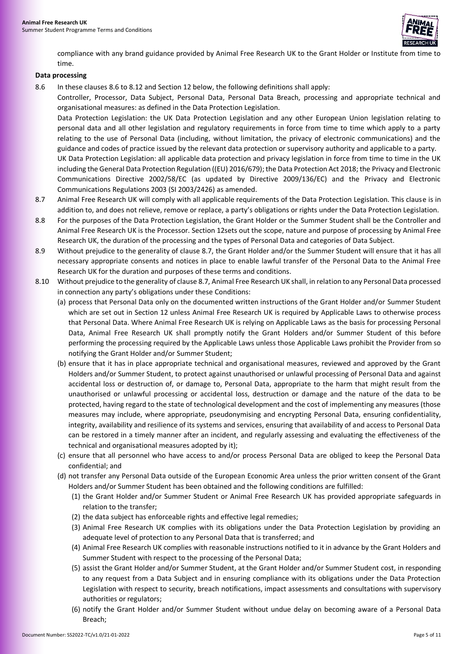

compliance with any brand guidance provided by Animal Free Research UK to the Grant Holder or Institute from time to time.

#### **Data processing**

<span id="page-4-0"></span>8.6 In these clause[s 8.6](#page-4-0) to [8.12](#page-5-0) and Section [12](#page-9-0) below, the following definitions shall apply:

Controller, Processor, Data Subject, Personal Data, Personal Data Breach, processing and appropriate technical and organisational measures: as defined in the Data Protection Legislation.

Data Protection Legislation: the UK Data Protection Legislation and any other European Union legislation relating to personal data and all other legislation and regulatory requirements in force from time to time which apply to a party relating to the use of Personal Data (including, without limitation, the privacy of electronic communications) and the guidance and codes of practice issued by the relevant data protection or supervisory authority and applicable to a party. UK Data Protection Legislation: all applicable data protection and privacy legislation in force from time to time in the UK including the General Data Protection Regulation ((EU) 2016/679); the Data Protection Act 2018; the Privacy and Electronic Communications Directive 2002/58/EC (as updated by Directive 2009/136/EC) and the Privacy and Electronic Communications Regulations 2003 (SI 2003/2426) as amended.

- <span id="page-4-1"></span>8.7 Animal Free Research UK will comply with all applicable requirements of the Data Protection Legislation. This clause is in addition to, and does not relieve, remove or replace, a party's obligations or rights under the Data Protection Legislation.
- 8.8 For the purposes of the Data Protection Legislation, the Grant Holder or the Summer Student shall be the Controller and Animal Free Research UK is the Processor. Section [12s](#page-9-0)ets out the scope, nature and purpose of processing by Animal Free Research UK, the duration of the processing and the types of Personal Data and categories of Data Subject.
- 8.9 Without prejudice to the generality of claus[e 8.7,](#page-4-1) the Grant Holder and/or the Summer Student will ensure that it has all necessary appropriate consents and notices in place to enable lawful transfer of the Personal Data to the Animal Free Research UK for the duration and purposes of these terms and conditions.
- 8.10 Without prejudice to the generality of claus[e 8.7,](#page-4-1) Animal Free Research UK shall, in relation to any Personal Data processed in connection any party's obligations under these Conditions:
	- (a) process that Personal Data only on the documented written instructions of the Grant Holder and/or Summer Student which are set out in Section [12](#page-9-0) unless Animal Free Research UK is required by Applicable Laws to otherwise process that Personal Data. Where Animal Free Research UK is relying on Applicable Laws as the basis for processing Personal Data, Animal Free Research UK shall promptly notify the Grant Holders and/or Summer Student of this before performing the processing required by the Applicable Laws unless those Applicable Laws prohibit the Provider from so notifying the Grant Holder and/or Summer Student;
	- (b) ensure that it has in place appropriate technical and organisational measures, reviewed and approved by the Grant Holders and/or Summer Student, to protect against unauthorised or unlawful processing of Personal Data and against accidental loss or destruction of, or damage to, Personal Data, appropriate to the harm that might result from the unauthorised or unlawful processing or accidental loss, destruction or damage and the nature of the data to be protected, having regard to the state of technological development and the cost of implementing any measures (those measures may include, where appropriate, pseudonymising and encrypting Personal Data, ensuring confidentiality, integrity, availability and resilience of its systems and services, ensuring that availability of and access to Personal Data can be restored in a timely manner after an incident, and regularly assessing and evaluating the effectiveness of the technical and organisational measures adopted by it);
	- (c) ensure that all personnel who have access to and/or process Personal Data are obliged to keep the Personal Data confidential; and
	- (d) not transfer any Personal Data outside of the European Economic Area unless the prior written consent of the Grant Holders and/or Summer Student has been obtained and the following conditions are fulfilled:
		- (1) the Grant Holder and/or Summer Student or Animal Free Research UK has provided appropriate safeguards in relation to the transfer;
		- (2) the data subject has enforceable rights and effective legal remedies;
		- (3) Animal Free Research UK complies with its obligations under the Data Protection Legislation by providing an adequate level of protection to any Personal Data that is transferred; and
		- (4) Animal Free Research UK complies with reasonable instructions notified to it in advance by the Grant Holders and Summer Student with respect to the processing of the Personal Data;
		- (5) assist the Grant Holder and/or Summer Student, at the Grant Holder and/or Summer Student cost, in responding to any request from a Data Subject and in ensuring compliance with its obligations under the Data Protection Legislation with respect to security, breach notifications, impact assessments and consultations with supervisory authorities or regulators;
		- (6) notify the Grant Holder and/or Summer Student without undue delay on becoming aware of a Personal Data Breach;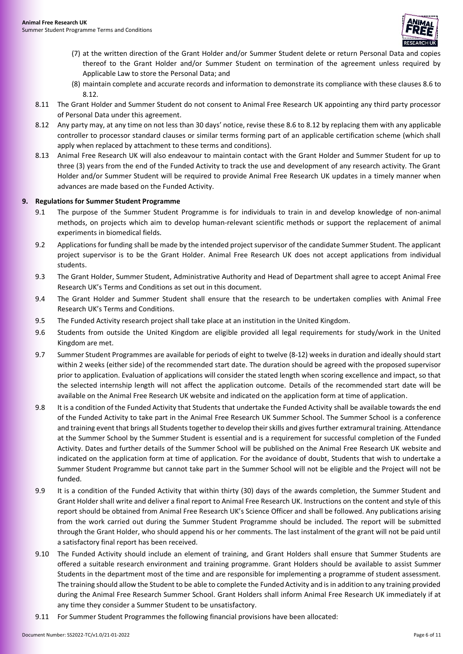

- (7) at the written direction of the Grant Holder and/or Summer Student delete or return Personal Data and copies thereof to the Grant Holder and/or Summer Student on termination of the agreement unless required by Applicable Law to store the Personal Data; and
- (8) maintain complete and accurate records and information to demonstrate its compliance with these clause[s 8.6](#page-4-0) to [8.12.](#page-5-0)
- 8.11 The Grant Holder and Summer Student do not consent to Animal Free Research UK appointing any third party processor of Personal Data under this agreement.
- <span id="page-5-0"></span>8.12 Any party may, at any time on not less than 30 days' notice, revise these [8.6](#page-4-0) t[o 8.12](#page-5-0) by replacing them with any applicable controller to processor standard clauses or similar terms forming part of an applicable certification scheme (which shall apply when replaced by attachment to these terms and conditions).
- 8.13 Animal Free Research UK will also endeavour to maintain contact with the Grant Holder and Summer Student for up to three (3) years from the end of the Funded Activity to track the use and development of any research activity. The Grant Holder and/or Summer Student will be required to provide Animal Free Research UK updates in a timely manner when advances are made based on the Funded Activity.

# **9. Regulations for Summer Student Programme**

- 9.1 The purpose of the Summer Student Programme is for individuals to train in and develop knowledge of non-animal methods, on projects which aim to develop human-relevant scientific methods or support the replacement of animal experiments in biomedical fields.
- 9.2 Applications for funding shall be made by the intended project supervisor of the candidate Summer Student. The applicant project supervisor is to be the Grant Holder. Animal Free Research UK does not accept applications from individual students.
- 9.3 The Grant Holder, Summer Student, Administrative Authority and Head of Department shall agree to accept Animal Free Research UK's Terms and Conditions as set out in this document.
- 9.4 The Grant Holder and Summer Student shall ensure that the research to be undertaken complies with Animal Free Research UK's Terms and Conditions.
- 9.5 The Funded Activity research project shall take place at an institution in the United Kingdom.
- 9.6 Students from outside the United Kingdom are eligible provided all legal requirements for study/work in the United Kingdom are met.
- 9.7 Summer Student Programmes are available for periods of eight to twelve (8-12) weeks in duration and ideally should start within 2 weeks (either side) of the recommended start date. The duration should be agreed with the proposed supervisor prior to application. Evaluation of applications will consider the stated length when scoring excellence and impact, so that the selected internship length will not affect the application outcome. Details of the recommended start date will be available on the Animal Free Research UK website and indicated on the application form at time of application.
- 9.8 It is a condition of the Funded Activity that Students that undertake the Funded Activity shall be available towards the end of the Funded Activity to take part in the Animal Free Research UK Summer School. The Summer School is a conference and training event that brings all Students together to develop their skills and gives further extramural training. Attendance at the Summer School by the Summer Student is essential and is a requirement for successful completion of the Funded Activity. Dates and further details of the Summer School will be published on the Animal Free Research UK website and indicated on the application form at time of application. For the avoidance of doubt, Students that wish to undertake a Summer Student Programme but cannot take part in the Summer School will not be eligible and the Project will not be funded.
- <span id="page-5-1"></span>9.9 It is a condition of the Funded Activity that within thirty (30) days of the awards completion, the Summer Student and Grant Holder shall write and deliver a final report to Animal Free Research UK. Instructions on the content and style of this report should be obtained from Animal Free Research UK's Science Officer and shall be followed. Any publications arising from the work carried out during the Summer Student Programme should be included. The report will be submitted through the Grant Holder, who should append his or her comments. The last instalment of the grant will not be paid until a satisfactory final report has been received.
- 9.10 The Funded Activity should include an element of training, and Grant Holders shall ensure that Summer Students are offered a suitable research environment and training programme. Grant Holders should be available to assist Summer Students in the department most of the time and are responsible for implementing a programme of student assessment. The training should allow the Student to be able to complete the Funded Activity and is in addition to any training provided during the Animal Free Research Summer School. Grant Holders shall inform Animal Free Research UK immediately if at any time they consider a Summer Student to be unsatisfactory.
- 9.11 For Summer Student Programmes the following financial provisions have been allocated: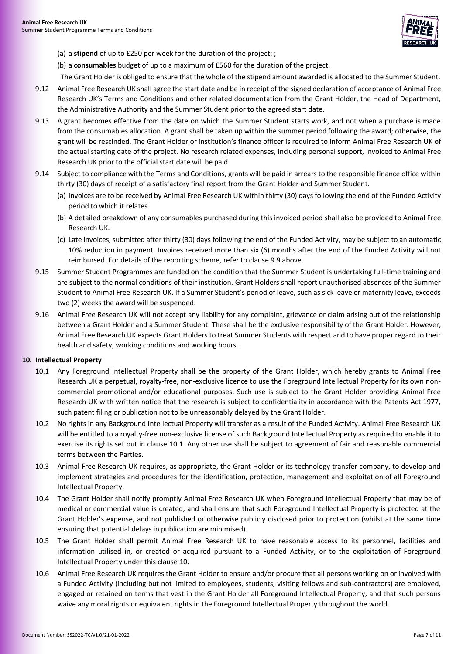

(a) a **stipend** of up to £250 per week for the duration of the project; ;

(b) a **consumables** budget of up to a maximum of £560 for the duration of the project.

The Grant Holder is obliged to ensure that the whole of the stipend amount awarded is allocated to the Summer Student.

- 9.12 Animal Free Research UK shall agree the start date and be in receipt of the signed declaration of acceptance of Animal Free Research UK's Terms and Conditions and other related documentation from the Grant Holder, the Head of Department, the Administrative Authority and the Summer Student prior to the agreed start date.
- 9.13 A grant becomes effective from the date on which the Summer Student starts work, and not when a purchase is made from the consumables allocation. A grant shall be taken up within the summer period following the award; otherwise, the grant will be rescinded. The Grant Holder or institution's finance officer is required to inform Animal Free Research UK of the actual starting date of the project. No research related expenses, including personal support, invoiced to Animal Free Research UK prior to the official start date will be paid.
- 9.14 Subject to compliance with the Terms and Conditions, grants will be paid in arrears to the responsible finance office within thirty (30) days of receipt of a satisfactory final report from the Grant Holder and Summer Student.
	- (a) Invoices are to be received by Animal Free Research UK within thirty (30) days following the end of the Funded Activity period to which it relates.
	- (b) A detailed breakdown of any consumables purchased during this invoiced period shall also be provided to Animal Free Research UK.
	- (c) Late invoices, submitted after thirty (30) days following the end of the Funded Activity, may be subject to an automatic 10% reduction in payment. Invoices received more than six (6) months after the end of the Funded Activity will not reimbursed. For details of the reporting scheme, refer to clause [9.9 above.](#page-5-1)
- 9.15 Summer Student Programmes are funded on the condition that the Summer Student is undertaking full-time training and are subject to the normal conditions of their institution. Grant Holders shall report unauthorised absences of the Summer Student to Animal Free Research UK. If a Summer Student's period of leave, such as sick leave or maternity leave, exceeds two (2) weeks the award will be suspended.
- 9.16 Animal Free Research UK will not accept any liability for any complaint, grievance or claim arising out of the relationship between a Grant Holder and a Summer Student. These shall be the exclusive responsibility of the Grant Holder. However, Animal Free Research UK expects Grant Holders to treat Summer Students with respect and to have proper regard to their health and safety, working conditions and working hours.

#### <span id="page-6-1"></span><span id="page-6-0"></span>**10. Intellectual Property**

- 10.1 Any Foreground Intellectual Property shall be the property of the Grant Holder, which hereby grants to Animal Free Research UK a perpetual, royalty-free, non-exclusive licence to use the Foreground Intellectual Property for its own noncommercial promotional and/or educational purposes. Such use is subject to the Grant Holder providing Animal Free Research UK with written notice that the research is subject to confidentiality in accordance with the Patents Act 1977, such patent filing or publication not to be unreasonably delayed by the Grant Holder.
- 10.2 No rights in any Background Intellectual Property will transfer as a result of the Funded Activity. Animal Free Research UK will be entitled to a royalty-free non-exclusive license of such Background Intellectual Property as required to enable it to exercise its rights set out in clause [10.1.](#page-6-0) Any other use shall be subject to agreement of fair and reasonable commercial terms between the Parties.
- 10.3 Animal Free Research UK requires, as appropriate, the Grant Holder or its technology transfer company, to develop and implement strategies and procedures for the identification, protection, management and exploitation of all Foreground Intellectual Property.
- 10.4 The Grant Holder shall notify promptly Animal Free Research UK when Foreground Intellectual Property that may be of medical or commercial value is created, and shall ensure that such Foreground Intellectual Property is protected at the Grant Holder's expense, and not published or otherwise publicly disclosed prior to protection (whilst at the same time ensuring that potential delays in publication are minimised).
- 10.5 The Grant Holder shall permit Animal Free Research UK to have reasonable access to its personnel, facilities and information utilised in, or created or acquired pursuant to a Funded Activity, or to the exploitation of Foreground Intellectual Property under this claus[e 10.](#page-6-1)
- 10.6 Animal Free Research UK requires the Grant Holder to ensure and/or procure that all persons working on or involved with a Funded Activity (including but not limited to employees, students, visiting fellows and sub-contractors) are employed, engaged or retained on terms that vest in the Grant Holder all Foreground Intellectual Property, and that such persons waive any moral rights or equivalent rights in the Foreground Intellectual Property throughout the world.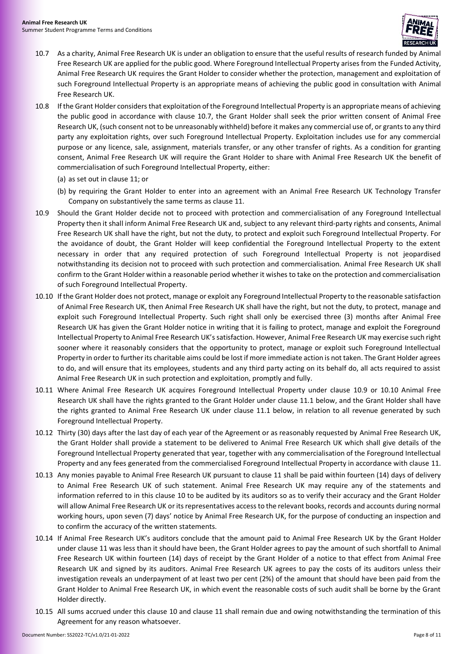

- <span id="page-7-0"></span>10.7 As a charity, Animal Free Research UK is under an obligation to ensure that the useful results of research funded by Animal Free Research UK are applied for the public good. Where Foreground Intellectual Property arises from the Funded Activity, Animal Free Research UK requires the Grant Holder to consider whether the protection, management and exploitation of such Foreground Intellectual Property is an appropriate means of achieving the public good in consultation with Animal Free Research UK.
- 10.8 If the Grant Holder considers that exploitation of the Foreground Intellectual Property is an appropriate means of achieving the public good in accordance with clause [10.7,](#page-7-0) the Grant Holder shall seek the prior written consent of Animal Free Research UK, (such consent not to be unreasonably withheld) before it makes any commercial use of, or grants to any third party any exploitation rights, over such Foreground Intellectual Property. Exploitation includes use for any commercial purpose or any licence, sale, assignment, materials transfer, or any other transfer of rights. As a condition for granting consent, Animal Free Research UK will require the Grant Holder to share with Animal Free Research UK the benefit of commercialisation of such Foreground Intellectual Property, either:
	- (a) as set out in clause [11;](#page-8-0) or
	- (b) by requiring the Grant Holder to enter into an agreement with an Animal Free Research UK Technology Transfer Company on substantively the same terms as claus[e 11.](#page-8-0)
- <span id="page-7-1"></span>10.9 Should the Grant Holder decide not to proceed with protection and commercialisation of any Foreground Intellectual Property then it shall inform Animal Free Research UK and, subject to any relevant third-party rights and consents, Animal Free Research UK shall have the right, but not the duty, to protect and exploit such Foreground Intellectual Property. For the avoidance of doubt, the Grant Holder will keep confidential the Foreground Intellectual Property to the extent necessary in order that any required protection of such Foreground Intellectual Property is not jeopardised notwithstanding its decision not to proceed with such protection and commercialisation. Animal Free Research UK shall confirm to the Grant Holder within a reasonable period whether it wishes to take on the protection and commercialisation of such Foreground Intellectual Property.
- <span id="page-7-2"></span>10.10 If the Grant Holder does not protect, manage or exploit any Foreground Intellectual Property to the reasonable satisfaction of Animal Free Research UK, then Animal Free Research UK shall have the right, but not the duty, to protect, manage and exploit such Foreground Intellectual Property. Such right shall only be exercised three (3) months after Animal Free Research UK has given the Grant Holder notice in writing that it is failing to protect, manage and exploit the Foreground Intellectual Property to Animal Free Research UK's satisfaction. However, Animal Free Research UK may exercise such right sooner where it reasonably considers that the opportunity to protect, manage or exploit such Foreground Intellectual Property in order to further its charitable aims could be lost if more immediate action is not taken. The Grant Holder agrees to do, and will ensure that its employees, students and any third party acting on its behalf do, all acts required to assist Animal Free Research UK in such protection and exploitation, promptly and fully.
- 10.11 Where Animal Free Research UK acquires Foreground Intellectual Property under clause [10.9](#page-7-1) or [10.10](#page-7-2) Animal Free Research UK shall have the rights granted to the Grant Holder under claus[e 11.1](#page-8-1) below, and the Grant Holder shall have the rights granted to Animal Free Research UK under clause [11.1](#page-8-1) below, in relation to all revenue generated by such Foreground Intellectual Property.
- 10.12 Thirty (30) days after the last day of each year of the Agreement or as reasonably requested by Animal Free Research UK, the Grant Holder shall provide a statement to be delivered to Animal Free Research UK which shall give details of the Foreground Intellectual Property generated that year, together with any commercialisation of the Foreground Intellectual Property and any fees generated from the commercialised Foreground Intellectual Property in accordance with clause 11.
- 10.13 Any monies payable to Animal Free Research UK pursuant to clause [11](#page-8-0) shall be paid within fourteen (14) days of delivery to Animal Free Research UK of such statement. Animal Free Research UK may require any of the statements and information referred to in this clause [10](#page-6-1) to be audited by its auditors so as to verify their accuracy and the Grant Holder will allow Animal Free Research UK or its representatives access to the relevant books, records and accounts during normal working hours, upon seven (7) days' notice by Animal Free Research UK, for the purpose of conducting an inspection and to confirm the accuracy of the written statements.
- 10.14 If Animal Free Research UK's auditors conclude that the amount paid to Animal Free Research UK by the Grant Holder under clause [11](#page-8-0) was less than it should have been, the Grant Holder agrees to pay the amount of such shortfall to Animal Free Research UK within fourteen (14) days of receipt by the Grant Holder of a notice to that effect from Animal Free Research UK and signed by its auditors. Animal Free Research UK agrees to pay the costs of its auditors unless their investigation reveals an underpayment of at least two per cent (2%) of the amount that should have been paid from the Grant Holder to Animal Free Research UK, in which event the reasonable costs of such audit shall be borne by the Grant Holder directly.
- 10.15 All sums accrued under this claus[e 10](#page-6-1) and clause [11](#page-8-0) shall remain due and owing notwithstanding the termination of this Agreement for any reason whatsoever.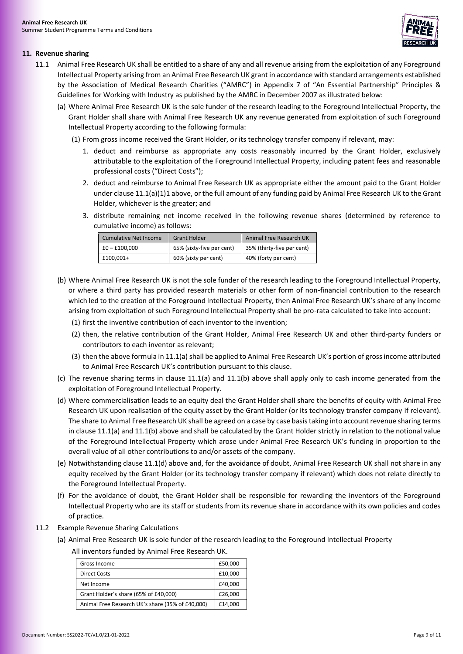

# <span id="page-8-1"></span><span id="page-8-0"></span>**11. Revenue sharing**

- <span id="page-8-3"></span><span id="page-8-2"></span>11.1 Animal Free Research UK shall be entitled to a share of any and all revenue arising from the exploitation of any Foreground Intellectual Property arising from an Animal Free Research UK grant in accordance with standard arrangements established by the Association of Medical Research Charities ("AMRC") in Appendix 7 of "An Essential Partnership" Principles & Guidelines for Working with Industry as published by the AMRC in December 2007 as illustrated below:
	- (a) Where Animal Free Research UK is the sole funder of the research leading to the Foreground Intellectual Property, the Grant Holder shall share with Animal Free Research UK any revenue generated from exploitation of such Foreground Intellectual Property according to the following formula:
		- (1) From gross income received the Grant Holder, or its technology transfer company if relevant, may:
			- 1. deduct and reimburse as appropriate any costs reasonably incurred by the Grant Holder, exclusively attributable to the exploitation of the Foreground Intellectual Property, including patent fees and reasonable professional costs ("Direct Costs");
			- 2. deduct and reimburse to Animal Free Research UK as appropriate either the amount paid to the Grant Holder under claus[e 11.1\(a\)\(1\)1](#page-8-2) above, or the full amount of any funding paid by Animal Free Research UK to the Grant Holder, whichever is the greater; and
			- 3. distribute remaining net income received in the following revenue shares (determined by reference to cumulative income) as follows:

| <b>Cumulative Net Income</b> | <b>Grant Holder</b>       | Animal Free Research UK    |
|------------------------------|---------------------------|----------------------------|
| £0 – £100.000                | 65% (sixty-five per cent) | 35% (thirty-five per cent) |
| £100.001+                    | 60% (sixty per cent)      | 40% (forty per cent)       |

- <span id="page-8-4"></span>(b) Where Animal Free Research UK is not the sole funder of the research leading to the Foreground Intellectual Property, or where a third party has provided research materials or other form of non-financial contribution to the research which led to the creation of the Foreground Intellectual Property, then Animal Free Research UK's share of any income arising from exploitation of such Foreground Intellectual Property shall be pro-rata calculated to take into account:
	- (1) first the inventive contribution of each inventor to the invention;
	- (2) then, the relative contribution of the Grant Holder, Animal Free Research UK and other third-party funders or contributors to each inventor as relevant;
	- (3) then the above formula in [11.1\(a\)](#page-8-3) shall be applied to Animal Free Research UK's portion of gross income attributed to Animal Free Research UK's contribution pursuant to this clause.
- (c) The revenue sharing terms in clause [11.1\(a\)](#page-8-3) and [11.1\(b\)](#page-8-4) above shall apply only to cash income generated from the exploitation of Foreground Intellectual Property.
- <span id="page-8-5"></span>(d) Where commercialisation leads to an equity deal the Grant Holder shall share the benefits of equity with Animal Free Research UK upon realisation of the equity asset by the Grant Holder (or its technology transfer company if relevant). The share to Animal Free Research UK shall be agreed on a case by case basis taking into account revenue sharing terms in claus[e 11.1\(a\)](#page-8-3) an[d 11.1\(b\)](#page-8-4) above and shall be calculated by the Grant Holder strictly in relation to the notional value of the Foreground Intellectual Property which arose under Animal Free Research UK's funding in proportion to the overall value of all other contributions to and/or assets of the company.
- (e) Notwithstanding claus[e 11.1\(d\)](#page-8-5) above and, for the avoidance of doubt, Animal Free Research UK shall not share in any equity received by the Grant Holder (or its technology transfer company if relevant) which does not relate directly to the Foreground Intellectual Property.
- (f) For the avoidance of doubt, the Grant Holder shall be responsible for rewarding the inventors of the Foreground Intellectual Property who are its staff or students from its revenue share in accordance with its own policies and codes of practice.
- 11.2 Example Revenue Sharing Calculations
	- (a) Animal Free Research UK is sole funder of the research leading to the Foreground Intellectual Property All inventors funded by Animal Free Research UK.

| Gross Income                                     | £50,000 |
|--------------------------------------------------|---------|
| <b>Direct Costs</b>                              | £10,000 |
| Net Income                                       | £40,000 |
| Grant Holder's share (65% of £40,000)            | £26,000 |
| Animal Free Research UK's share (35% of £40,000) | £14,000 |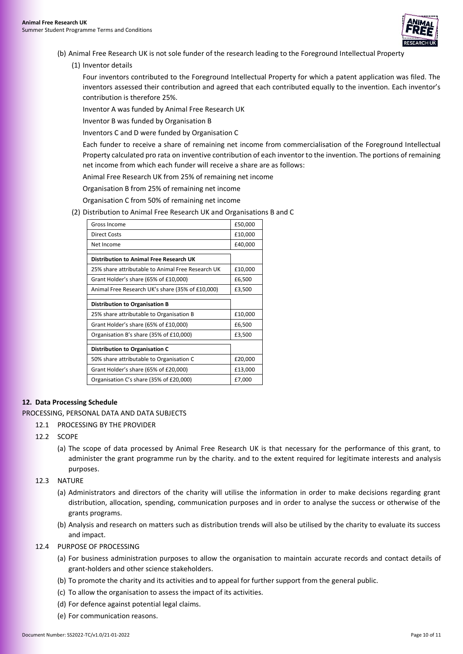

- (b) Animal Free Research UK is not sole funder of the research leading to the Foreground Intellectual Property
	- (1) Inventor details

Four inventors contributed to the Foreground Intellectual Property for which a patent application was filed. The inventors assessed their contribution and agreed that each contributed equally to the invention. Each inventor's contribution is therefore 25%.

Inventor A was funded by Animal Free Research UK

Inventor B was funded by Organisation B

Inventors C and D were funded by Organisation C

Each funder to receive a share of remaining net income from commercialisation of the Foreground Intellectual Property calculated pro rata on inventive contribution of each inventor to the invention. The portions of remaining net income from which each funder will receive a share are as follows:

Animal Free Research UK from 25% of remaining net income

Organisation B from 25% of remaining net income

Organisation C from 50% of remaining net income

(2) Distribution to Animal Free Research UK and Organisations B and C

| Gross Income                                      | £50,000 |
|---------------------------------------------------|---------|
| Direct Costs                                      | £10,000 |
| Net Income                                        | £40,000 |
|                                                   |         |
| Distribution to Animal Free Research UK           |         |
| 25% share attributable to Animal Free Research UK | £10,000 |
| Grant Holder's share (65% of £10,000)             | £6,500  |
| Animal Free Research UK's share (35% of £10,000)  | £3,500  |
|                                                   |         |
|                                                   |         |
| <b>Distribution to Organisation B</b>             |         |
| 25% share attributable to Organisation B          | £10,000 |
| Grant Holder's share (65% of £10,000)             | £6,500  |
| Organisation B's share (35% of £10,000)           | £3,500  |
|                                                   |         |
| <b>Distribution to Organisation C</b>             |         |
| 50% share attributable to Organisation C          | £20,000 |
| Grant Holder's share (65% of £20,000)             | £13,000 |

# <span id="page-9-0"></span>**12. Data Processing Schedule**

PROCESSING, PERSONAL DATA AND DATA SUBJECTS

- 12.1 PROCESSING BY THE PROVIDER
- 12.2 SCOPE
	- (a) The scope of data processed by Animal Free Research UK is that necessary for the performance of this grant, to administer the grant programme run by the charity. and to the extent required for legitimate interests and analysis purposes.
- 12.3 NATURE
	- (a) Administrators and directors of the charity will utilise the information in order to make decisions regarding grant distribution, allocation, spending, communication purposes and in order to analyse the success or otherwise of the grants programs.
	- (b) Analysis and research on matters such as distribution trends will also be utilised by the charity to evaluate its success and impact.
- 12.4 PURPOSE OF PROCESSING
	- (a) For business administration purposes to allow the organisation to maintain accurate records and contact details of grant-holders and other science stakeholders.
	- (b) To promote the charity and its activities and to appeal for further support from the general public.
	- (c) To allow the organisation to assess the impact of its activities.
	- (d) For defence against potential legal claims.
	- (e) For communication reasons.